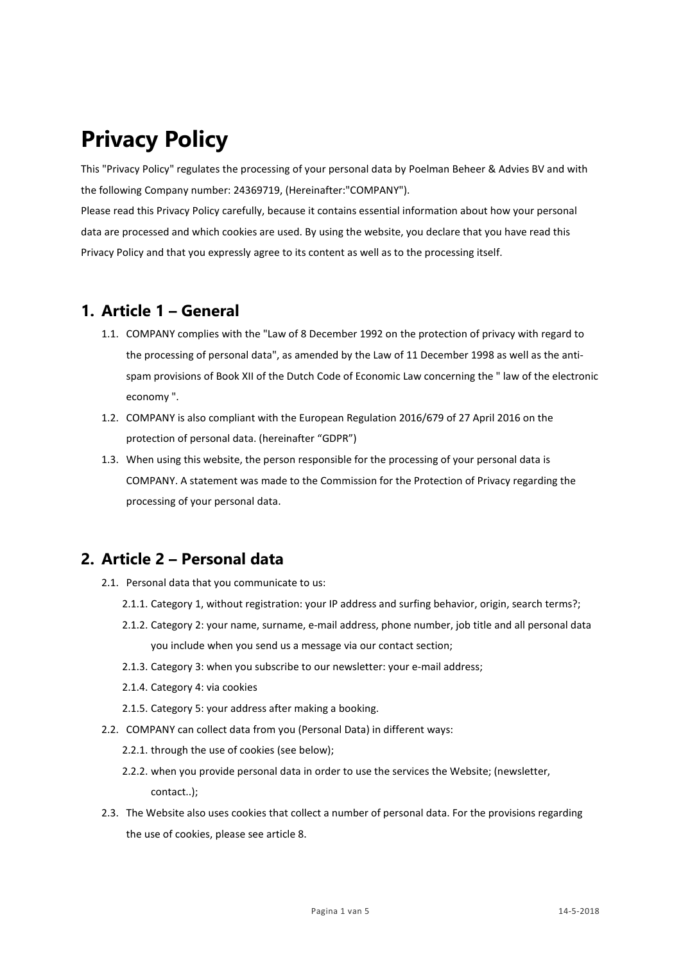# **Privacy Policy**

This "Privacy Policy" regulates the processing of your personal data by Poelman Beheer & Advies BV and with the following Company number: 24369719, (Hereinafter:"COMPANY").

Please read this Privacy Policy carefully, because it contains essential information about how your personal data are processed and which cookies are used. By using the website, you declare that you have read this Privacy Policy and that you expressly agree to its content as well as to the processing itself.

#### **1. Article 1 – General**

- 1.1. COMPANY complies with the "Law of 8 December 1992 on the protection of privacy with regard to the processing of personal data", as amended by the Law of 11 December 1998 as well as the antispam provisions of Book XII of the Dutch Code of Economic Law concerning the " law of the electronic economy ".
- 1.2. COMPANY is also compliant with the European Regulation 2016/679 of 27 April 2016 on the protection of personal data. (hereinafter "GDPR")
- 1.3. When using this website, the person responsible for the processing of your personal data is COMPANY. A statement was made to the Commission for the Protection of Privacy regarding the processing of your personal data.

# **2. Article 2 – Personal data**

- 2.1. Personal data that you communicate to us:
	- 2.1.1. Category 1, without registration: your IP address and surfing behavior, origin, search terms?;
	- 2.1.2. Category 2: your name, surname, e-mail address, phone number, job title and all personal data you include when you send us a message via our contact section;
	- 2.1.3. Category 3: when you subscribe to our newsletter: your e-mail address;
	- 2.1.4. Category 4: via cookies
	- 2.1.5. Category 5: your address after making a booking.
- 2.2. COMPANY can collect data from you (Personal Data) in different ways:
	- 2.2.1. through the use of cookies (see below);
	- 2.2.2. when you provide personal data in order to use the services the Website; (newsletter, contact..);
- 2.3. The Website also uses cookies that collect a number of personal data. For the provisions regarding the use of cookies, please see article 8.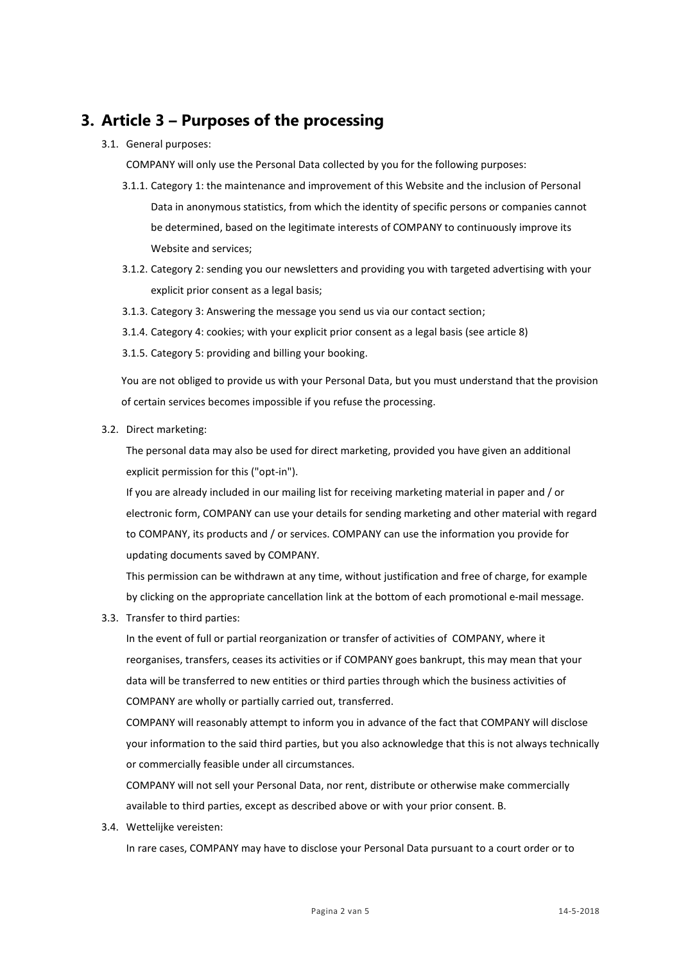# **3. Article 3 – Purposes of the processing**

3.1. General purposes:

COMPANY will only use the Personal Data collected by you for the following purposes:

- 3.1.1. Category 1: the maintenance and improvement of this Website and the inclusion of Personal Data in anonymous statistics, from which the identity of specific persons or companies cannot be determined, based on the legitimate interests of COMPANY to continuously improve its Website and services;
- 3.1.2. Category 2: sending you our newsletters and providing you with targeted advertising with your explicit prior consent as a legal basis;
- 3.1.3. Category 3: Answering the message you send us via our contact section;
- 3.1.4. Category 4: cookies; with your explicit prior consent as a legal basis (see article 8)
- 3.1.5. Category 5: providing and billing your booking.

You are not obliged to provide us with your Personal Data, but you must understand that the provision of certain services becomes impossible if you refuse the processing.

3.2. Direct marketing:

The personal data may also be used for direct marketing, provided you have given an additional explicit permission for this ("opt-in").

If you are already included in our mailing list for receiving marketing material in paper and / or electronic form, COMPANY can use your details for sending marketing and other material with regard to COMPANY, its products and / or services. COMPANY can use the information you provide for updating documents saved by COMPANY.

This permission can be withdrawn at any time, without justification and free of charge, for example by clicking on the appropriate cancellation link at the bottom of each promotional e-mail message.

3.3. Transfer to third parties:

In the event of full or partial reorganization or transfer of activities of COMPANY, where it reorganises, transfers, ceases its activities or if COMPANY goes bankrupt, this may mean that your data will be transferred to new entities or third parties through which the business activities of COMPANY are wholly or partially carried out, transferred.

COMPANY will reasonably attempt to inform you in advance of the fact that COMPANY will disclose your information to the said third parties, but you also acknowledge that this is not always technically or commercially feasible under all circumstances.

COMPANY will not sell your Personal Data, nor rent, distribute or otherwise make commercially available to third parties, except as described above or with your prior consent. B.

3.4. Wettelijke vereisten:

In rare cases, COMPANY may have to disclose your Personal Data pursuant to a court order or to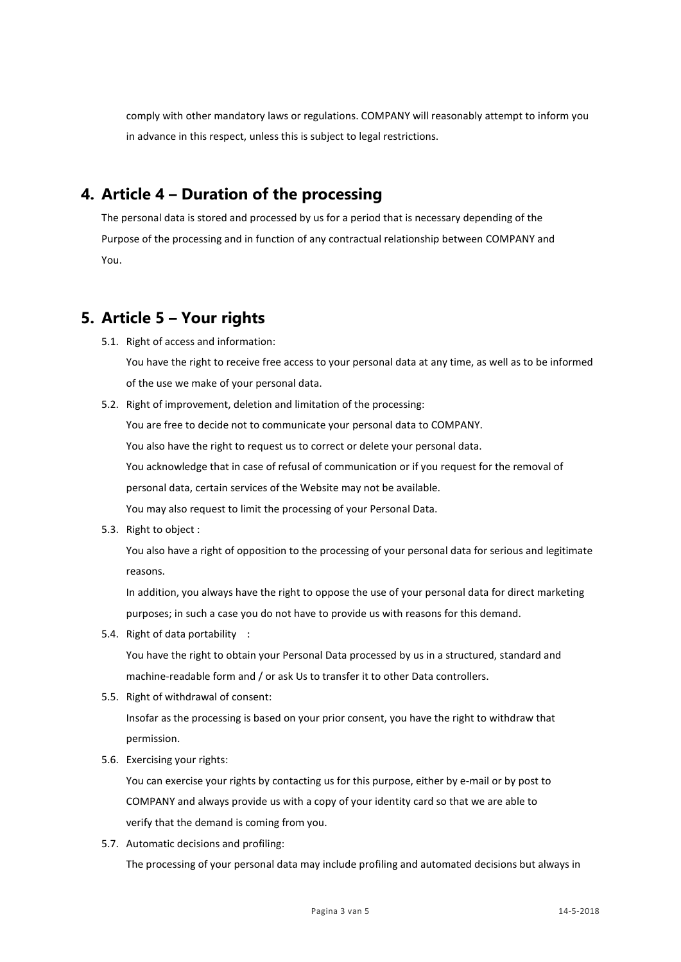comply with other mandatory laws or regulations. COMPANY will reasonably attempt to inform you in advance in this respect, unless this is subject to legal restrictions.

### **4. Article 4 – Duration of the processing**

The personal data is stored and processed by us for a period that is necessary depending of the Purpose of the processing and in function of any contractual relationship between COMPANY and You.

# **5. Article 5 – Your rights**

5.1. Right of access and information:

You have the right to receive free access to your personal data at any time, as well as to be informed of the use we make of your personal data.

5.2. Right of improvement, deletion and limitation of the processing:

You are free to decide not to communicate your personal data to COMPANY. You also have the right to request us to correct or delete your personal data. You acknowledge that in case of refusal of communication or if you request for the removal of personal data, certain services of the Website may not be available. You may also request to limit the processing of your Personal Data.

5.3. Right to object :

You also have a right of opposition to the processing of your personal data for serious and legitimate reasons.

In addition, you always have the right to oppose the use of your personal data for direct marketing purposes; in such a case you do not have to provide us with reasons for this demand.

5.4. Right of data portability :

You have the right to obtain your Personal Data processed by us in a structured, standard and machine-readable form and / or ask Us to transfer it to other Data controllers.

5.5. Right of withdrawal of consent:

Insofar as the processing is based on your prior consent, you have the right to withdraw that permission.

5.6. Exercising your rights:

You can exercise your rights by contacting us for this purpose, either by e-mail or by post to COMPANY and always provide us with a copy of your identity card so that we are able to verify that the demand is coming from you.

5.7. Automatic decisions and profiling:

The processing of your personal data may include profiling and automated decisions but always in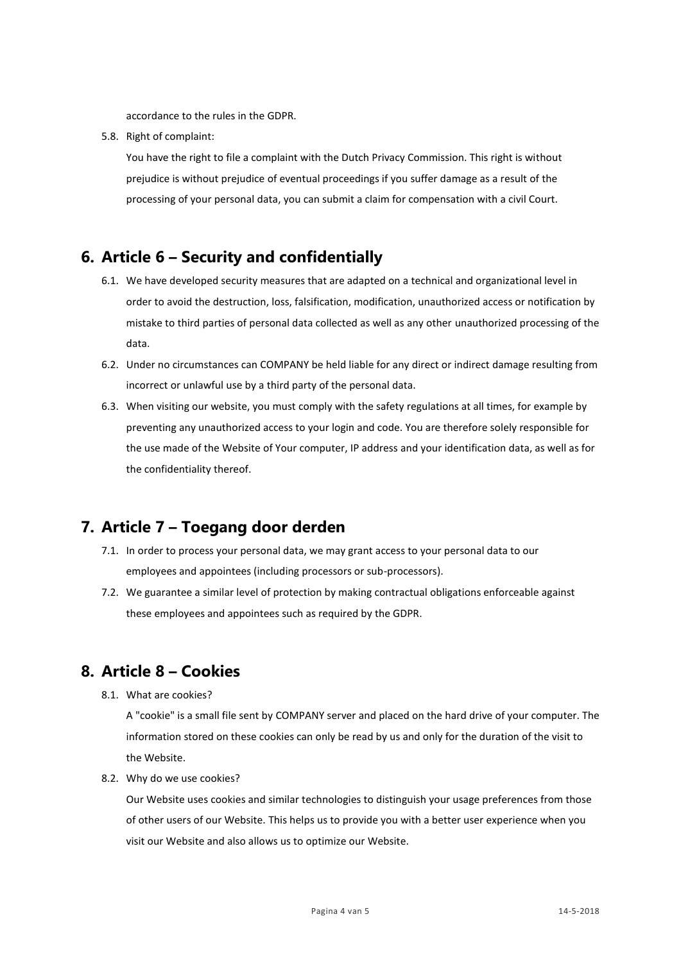accordance to the rules in the GDPR.

5.8. Right of complaint:

You have the right to file a complaint with the Dutch Privacy Commission. This right is without prejudice is without prejudice of eventual proceedings if you suffer damage as a result of the processing of your personal data, you can submit a claim for compensation with a civil Court.

### **6. Article 6 – Security and confidentially**

- 6.1. We have developed security measures that are adapted on a technical and organizational level in order to avoid the destruction, loss, falsification, modification, unauthorized access or notification by mistake to third parties of personal data collected as well as any other unauthorized processing of the data.
- 6.2. Under no circumstances can COMPANY be held liable for any direct or indirect damage resulting from incorrect or unlawful use by a third party of the personal data.
- 6.3. When visiting our website, you must comply with the safety regulations at all times, for example by preventing any unauthorized access to your login and code. You are therefore solely responsible for the use made of the Website of Your computer, IP address and your identification data, as well as for the confidentiality thereof.

#### **7. Article 7 – Toegang door derden**

- 7.1. In order to process your personal data, we may grant access to your personal data to our employees and appointees (including processors or sub-processors).
- 7.2. We guarantee a similar level of protection by making contractual obligations enforceable against these employees and appointees such as required by the GDPR.

#### **8. Article 8 – Cookies**

8.1. What are cookies?

A "cookie" is a small file sent by COMPANY server and placed on the hard drive of your computer. The information stored on these cookies can only be read by us and only for the duration of the visit to the Website.

8.2. Why do we use cookies?

Our Website uses cookies and similar technologies to distinguish your usage preferences from those of other users of our Website. This helps us to provide you with a better user experience when you visit our Website and also allows us to optimize our Website.